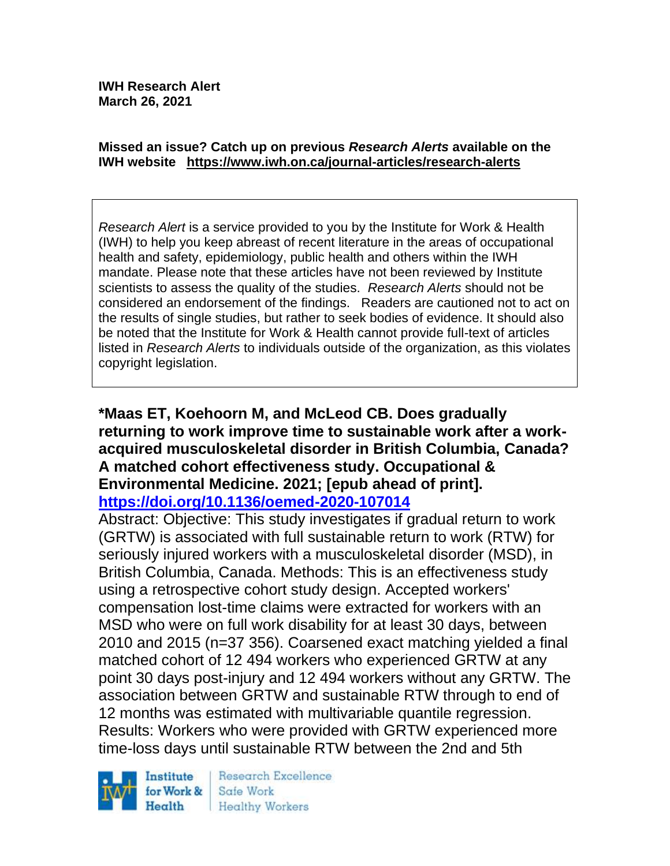#### **Missed an issue? Catch up on previous** *Research Alerts* **available on the [IWH website](http://www.iwh.on.ca/research-alerts) <https://www.iwh.on.ca/journal-articles/research-alerts>**

*Research Alert* is a service provided to you by the Institute for Work & Health (IWH) to help you keep abreast of recent literature in the areas of occupational health and safety, epidemiology, public health and others within the IWH mandate. Please note that these articles have not been reviewed by Institute scientists to assess the quality of the studies. *Research Alerts* should not be considered an endorsement of the findings. Readers are cautioned not to act on the results of single studies, but rather to seek bodies of evidence. It should also be noted that the Institute for Work & Health cannot provide full-text of articles listed in *Research Alerts* to individuals outside of the organization, as this violates copyright legislation.

## **\*Maas ET, Koehoorn M, and McLeod CB. Does gradually returning to work improve time to sustainable work after a workacquired musculoskeletal disorder in British Columbia, Canada? A matched cohort effectiveness study. Occupational & Environmental Medicine. 2021; [epub ahead of print]. <https://doi.org/10.1136/oemed-2020-107014>**

Abstract: Objective: This study investigates if gradual return to work (GRTW) is associated with full sustainable return to work (RTW) for seriously injured workers with a musculoskeletal disorder (MSD), in British Columbia, Canada. Methods: This is an effectiveness study using a retrospective cohort study design. Accepted workers' compensation lost-time claims were extracted for workers with an MSD who were on full work disability for at least 30 days, between 2010 and 2015 (n=37 356). Coarsened exact matching yielded a final matched cohort of 12 494 workers who experienced GRTW at any point 30 days post-injury and 12 494 workers without any GRTW. The association between GRTW and sustainable RTW through to end of 12 months was estimated with multivariable quantile regression. Results: Workers who were provided with GRTW experienced more time-loss days until sustainable RTW between the 2nd and 5th



Research Excellence Safe Work Healthy Workers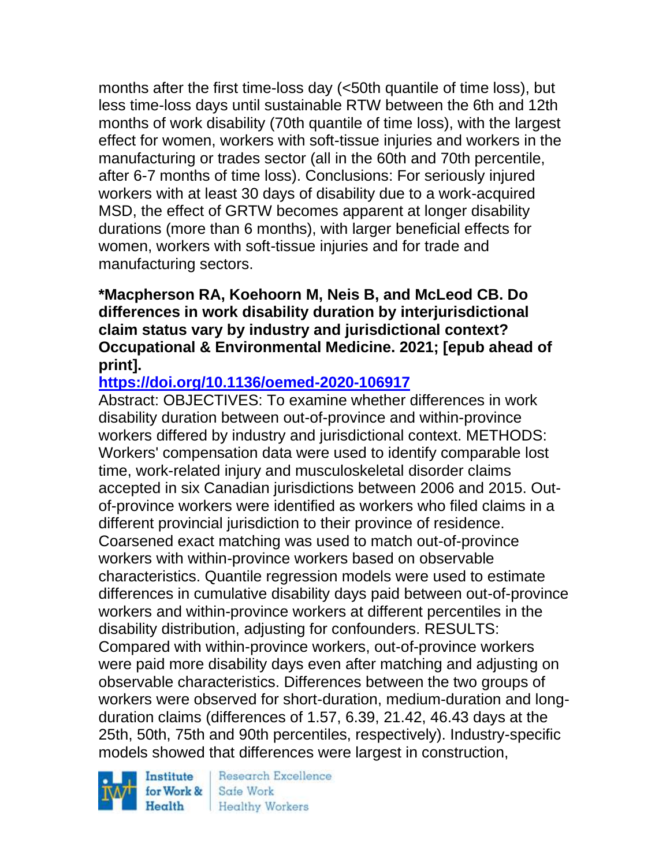months after the first time-loss day (<50th quantile of time loss), but less time-loss days until sustainable RTW between the 6th and 12th months of work disability (70th quantile of time loss), with the largest effect for women, workers with soft-tissue injuries and workers in the manufacturing or trades sector (all in the 60th and 70th percentile, after 6-7 months of time loss). Conclusions: For seriously injured workers with at least 30 days of disability due to a work-acquired MSD, the effect of GRTW becomes apparent at longer disability durations (more than 6 months), with larger beneficial effects for women, workers with soft-tissue injuries and for trade and manufacturing sectors.

## **\*Macpherson RA, Koehoorn M, Neis B, and McLeod CB. Do differences in work disability duration by interjurisdictional claim status vary by industry and jurisdictional context? Occupational & Environmental Medicine. 2021; [epub ahead of print].**

## **<https://doi.org/10.1136/oemed-2020-106917>**

Abstract: OBJECTIVES: To examine whether differences in work disability duration between out-of-province and within-province workers differed by industry and jurisdictional context. METHODS: Workers' compensation data were used to identify comparable lost time, work-related injury and musculoskeletal disorder claims accepted in six Canadian jurisdictions between 2006 and 2015. Outof-province workers were identified as workers who filed claims in a different provincial jurisdiction to their province of residence. Coarsened exact matching was used to match out-of-province workers with within-province workers based on observable characteristics. Quantile regression models were used to estimate differences in cumulative disability days paid between out-of-province workers and within-province workers at different percentiles in the disability distribution, adjusting for confounders. RESULTS: Compared with within-province workers, out-of-province workers were paid more disability days even after matching and adjusting on observable characteristics. Differences between the two groups of workers were observed for short-duration, medium-duration and longduration claims (differences of 1.57, 6.39, 21.42, 46.43 days at the 25th, 50th, 75th and 90th percentiles, respectively). Industry-specific models showed that differences were largest in construction,

Institute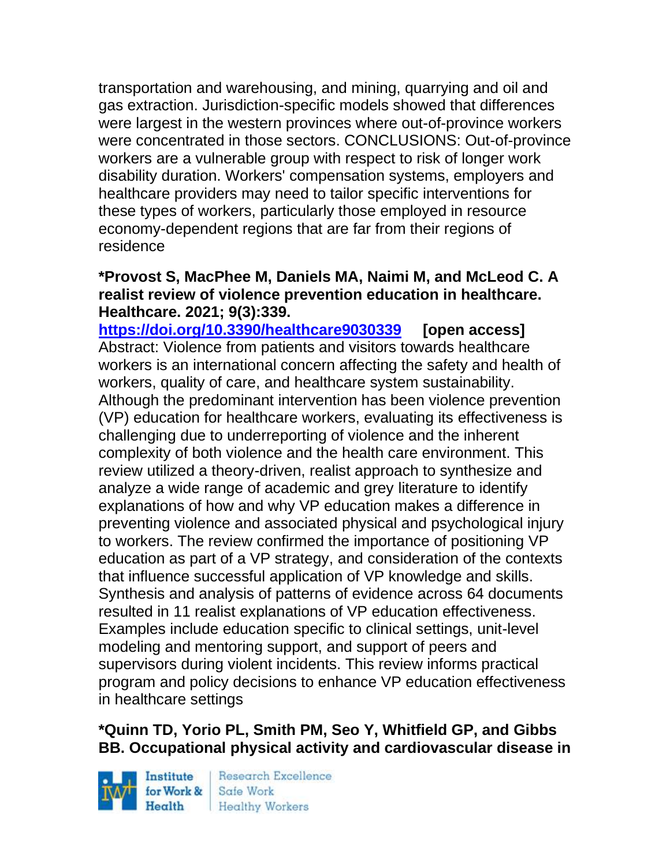transportation and warehousing, and mining, quarrying and oil and gas extraction. Jurisdiction-specific models showed that differences were largest in the western provinces where out-of-province workers were concentrated in those sectors. CONCLUSIONS: Out-of-province workers are a vulnerable group with respect to risk of longer work disability duration. Workers' compensation systems, employers and healthcare providers may need to tailor specific interventions for these types of workers, particularly those employed in resource economy-dependent regions that are far from their regions of residence

## **\*Provost S, MacPhee M, Daniels MA, Naimi M, and McLeod C. A realist review of violence prevention education in healthcare. Healthcare. 2021; 9(3):339.**

**<https://doi.org/10.3390/healthcare9030339> [open access]** Abstract: Violence from patients and visitors towards healthcare workers is an international concern affecting the safety and health of workers, quality of care, and healthcare system sustainability. Although the predominant intervention has been violence prevention (VP) education for healthcare workers, evaluating its effectiveness is challenging due to underreporting of violence and the inherent complexity of both violence and the health care environment. This review utilized a theory-driven, realist approach to synthesize and analyze a wide range of academic and grey literature to identify explanations of how and why VP education makes a difference in preventing violence and associated physical and psychological injury to workers. The review confirmed the importance of positioning VP education as part of a VP strategy, and consideration of the contexts that influence successful application of VP knowledge and skills. Synthesis and analysis of patterns of evidence across 64 documents resulted in 11 realist explanations of VP education effectiveness. Examples include education specific to clinical settings, unit-level modeling and mentoring support, and support of peers and supervisors during violent incidents. This review informs practical program and policy decisions to enhance VP education effectiveness in healthcare settings

## **\*Quinn TD, Yorio PL, Smith PM, Seo Y, Whitfield GP, and Gibbs BB. Occupational physical activity and cardiovascular disease in**

Institute Health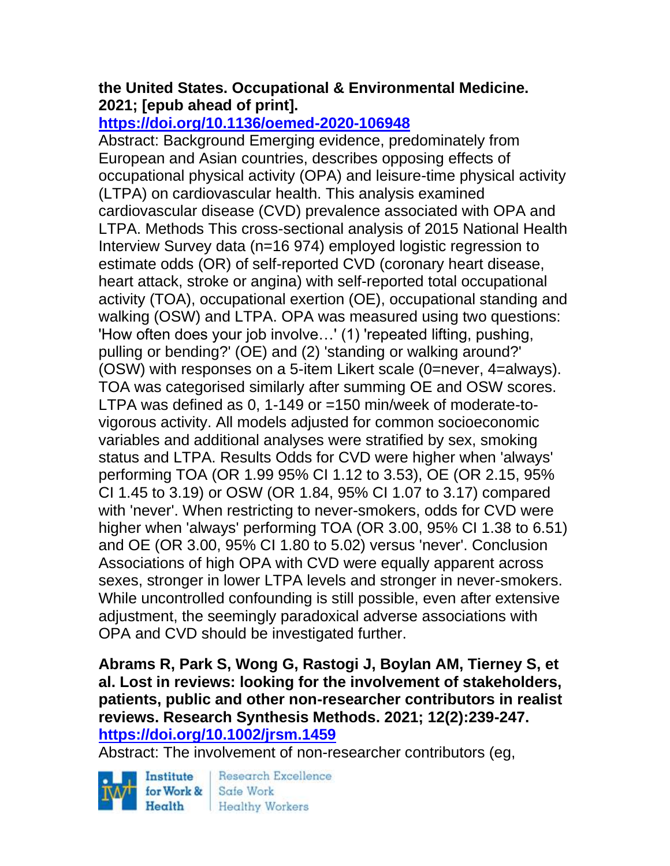## **the United States. Occupational & Environmental Medicine. 2021; [epub ahead of print].**

# **<https://doi.org/10.1136/oemed-2020-106948>**

Abstract: Background Emerging evidence, predominately from European and Asian countries, describes opposing effects of occupational physical activity (OPA) and leisure-time physical activity (LTPA) on cardiovascular health. This analysis examined cardiovascular disease (CVD) prevalence associated with OPA and LTPA. Methods This cross-sectional analysis of 2015 National Health Interview Survey data (n=16 974) employed logistic regression to estimate odds (OR) of self-reported CVD (coronary heart disease, heart attack, stroke or angina) with self-reported total occupational activity (TOA), occupational exertion (OE), occupational standing and walking (OSW) and LTPA. OPA was measured using two questions: 'How often does your job involve…' (1) 'repeated lifting, pushing, pulling or bending?' (OE) and (2) 'standing or walking around?' (OSW) with responses on a 5-item Likert scale (0=never, 4=always). TOA was categorised similarly after summing OE and OSW scores. LTPA was defined as 0, 1-149 or =150 min/week of moderate-tovigorous activity. All models adjusted for common socioeconomic variables and additional analyses were stratified by sex, smoking status and LTPA. Results Odds for CVD were higher when 'always' performing TOA (OR 1.99 95% CI 1.12 to 3.53), OE (OR 2.15, 95% CI 1.45 to 3.19) or OSW (OR 1.84, 95% CI 1.07 to 3.17) compared with 'never'. When restricting to never-smokers, odds for CVD were higher when 'always' performing TOA (OR 3.00, 95% CI 1.38 to 6.51) and OE (OR 3.00, 95% CI 1.80 to 5.02) versus 'never'. Conclusion Associations of high OPA with CVD were equally apparent across sexes, stronger in lower LTPA levels and stronger in never-smokers. While uncontrolled confounding is still possible, even after extensive adjustment, the seemingly paradoxical adverse associations with OPA and CVD should be investigated further.

**Abrams R, Park S, Wong G, Rastogi J, Boylan AM, Tierney S, et al. Lost in reviews: looking for the involvement of stakeholders, patients, public and other non-researcher contributors in realist reviews. Research Synthesis Methods. 2021; 12(2):239-247. <https://doi.org/10.1002/jrsm.1459>** 

Abstract: The involvement of non-researcher contributors (eg,



Research Excellence Health Healthy Workers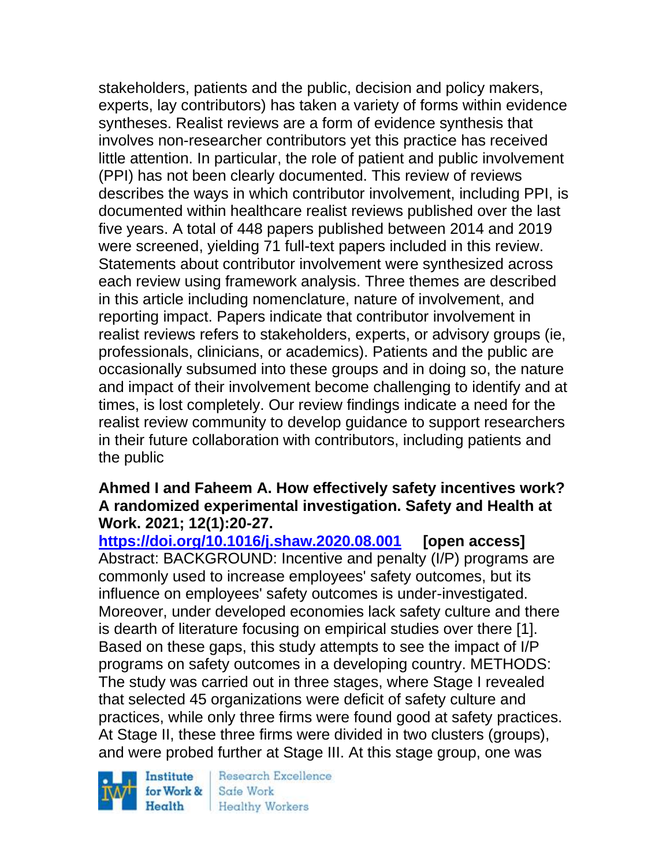stakeholders, patients and the public, decision and policy makers, experts, lay contributors) has taken a variety of forms within evidence syntheses. Realist reviews are a form of evidence synthesis that involves non-researcher contributors yet this practice has received little attention. In particular, the role of patient and public involvement (PPI) has not been clearly documented. This review of reviews describes the ways in which contributor involvement, including PPI, is documented within healthcare realist reviews published over the last five years. A total of 448 papers published between 2014 and 2019 were screened, yielding 71 full-text papers included in this review. Statements about contributor involvement were synthesized across each review using framework analysis. Three themes are described in this article including nomenclature, nature of involvement, and reporting impact. Papers indicate that contributor involvement in realist reviews refers to stakeholders, experts, or advisory groups (ie, professionals, clinicians, or academics). Patients and the public are occasionally subsumed into these groups and in doing so, the nature and impact of their involvement become challenging to identify and at times, is lost completely. Our review findings indicate a need for the realist review community to develop guidance to support researchers in their future collaboration with contributors, including patients and the public

### **Ahmed I and Faheem A. How effectively safety incentives work? A randomized experimental investigation. Safety and Health at Work. 2021; 12(1):20-27.**

**<https://doi.org/10.1016/j.shaw.2020.08.001> [open access]** Abstract: BACKGROUND: Incentive and penalty (I/P) programs are commonly used to increase employees' safety outcomes, but its influence on employees' safety outcomes is under-investigated. Moreover, under developed economies lack safety culture and there is dearth of literature focusing on empirical studies over there [1]. Based on these gaps, this study attempts to see the impact of I/P programs on safety outcomes in a developing country. METHODS: The study was carried out in three stages, where Stage I revealed that selected 45 organizations were deficit of safety culture and practices, while only three firms were found good at safety practices. At Stage II, these three firms were divided in two clusters (groups), and were probed further at Stage III. At this stage group, one was



**Research Excellence** Safe Work **Healthy Workers**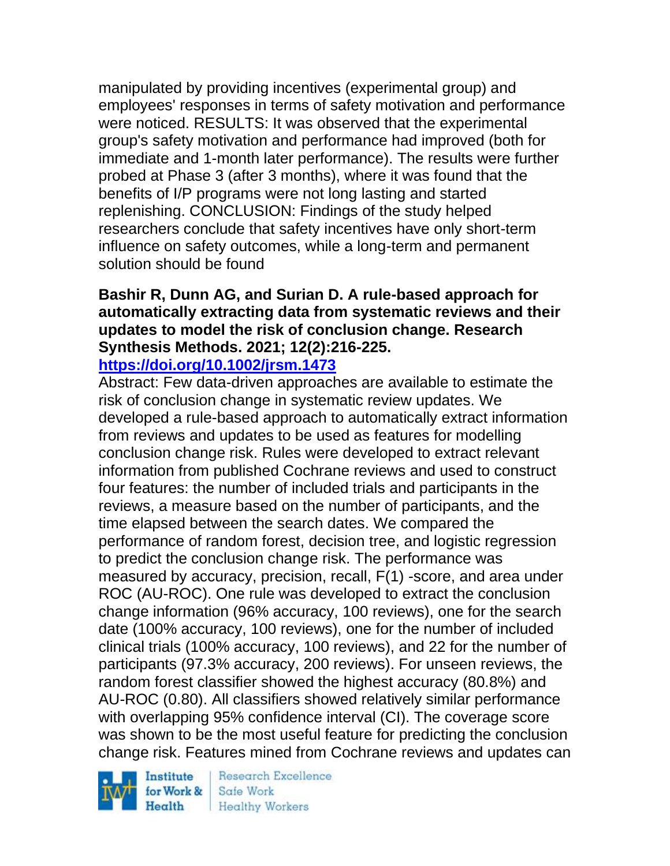manipulated by providing incentives (experimental group) and employees' responses in terms of safety motivation and performance were noticed. RESULTS: It was observed that the experimental group's safety motivation and performance had improved (both for immediate and 1-month later performance). The results were further probed at Phase 3 (after 3 months), where it was found that the benefits of I/P programs were not long lasting and started replenishing. CONCLUSION: Findings of the study helped researchers conclude that safety incentives have only short-term influence on safety outcomes, while a long-term and permanent solution should be found

### **Bashir R, Dunn AG, and Surian D. A rule-based approach for automatically extracting data from systematic reviews and their updates to model the risk of conclusion change. Research Synthesis Methods. 2021; 12(2):216-225. <https://doi.org/10.1002/jrsm.1473>**

Abstract: Few data-driven approaches are available to estimate the risk of conclusion change in systematic review updates. We developed a rule-based approach to automatically extract information from reviews and updates to be used as features for modelling conclusion change risk. Rules were developed to extract relevant information from published Cochrane reviews and used to construct four features: the number of included trials and participants in the reviews, a measure based on the number of participants, and the time elapsed between the search dates. We compared the performance of random forest, decision tree, and logistic regression to predict the conclusion change risk. The performance was measured by accuracy, precision, recall, F(1) -score, and area under ROC (AU-ROC). One rule was developed to extract the conclusion change information (96% accuracy, 100 reviews), one for the search date (100% accuracy, 100 reviews), one for the number of included clinical trials (100% accuracy, 100 reviews), and 22 for the number of participants (97.3% accuracy, 200 reviews). For unseen reviews, the random forest classifier showed the highest accuracy (80.8%) and AU-ROC (0.80). All classifiers showed relatively similar performance with overlapping 95% confidence interval (CI). The coverage score was shown to be the most useful feature for predicting the conclusion change risk. Features mined from Cochrane reviews and updates can

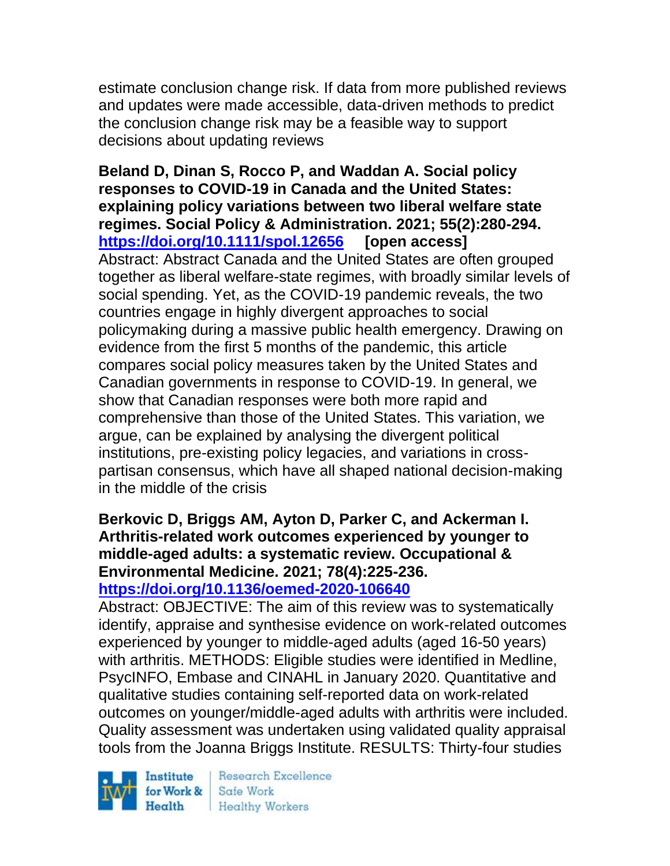estimate conclusion change risk. If data from more published reviews and updates were made accessible, data-driven methods to predict the conclusion change risk may be a feasible way to support decisions about updating reviews

**Beland D, Dinan S, Rocco P, and Waddan A. Social policy responses to COVID-19 in Canada and the United States: explaining policy variations between two liberal welfare state regimes. Social Policy & Administration. 2021; 55(2):280-294. <https://doi.org/10.1111/spol.12656> [open access]** Abstract: Abstract Canada and the United States are often grouped together as liberal welfare-state regimes, with broadly similar levels of social spending. Yet, as the COVID-19 pandemic reveals, the two countries engage in highly divergent approaches to social policymaking during a massive public health emergency. Drawing on evidence from the first 5 months of the pandemic, this article compares social policy measures taken by the United States and Canadian governments in response to COVID-19. In general, we show that Canadian responses were both more rapid and comprehensive than those of the United States. This variation, we argue, can be explained by analysing the divergent political institutions, pre-existing policy legacies, and variations in crosspartisan consensus, which have all shaped national decision-making in the middle of the crisis

### **Berkovic D, Briggs AM, Ayton D, Parker C, and Ackerman I. Arthritis-related work outcomes experienced by younger to middle-aged adults: a systematic review. Occupational & Environmental Medicine. 2021; 78(4):225-236. <https://doi.org/10.1136/oemed-2020-106640>**

Abstract: OBJECTIVE: The aim of this review was to systematically identify, appraise and synthesise evidence on work-related outcomes experienced by younger to middle-aged adults (aged 16-50 years) with arthritis. METHODS: Eligible studies were identified in Medline, PsycINFO, Embase and CINAHL in January 2020. Quantitative and qualitative studies containing self-reported data on work-related outcomes on younger/middle-aged adults with arthritis were included. Quality assessment was undertaken using validated quality appraisal tools from the Joanna Briggs Institute. RESULTS: Thirty-four studies

Institute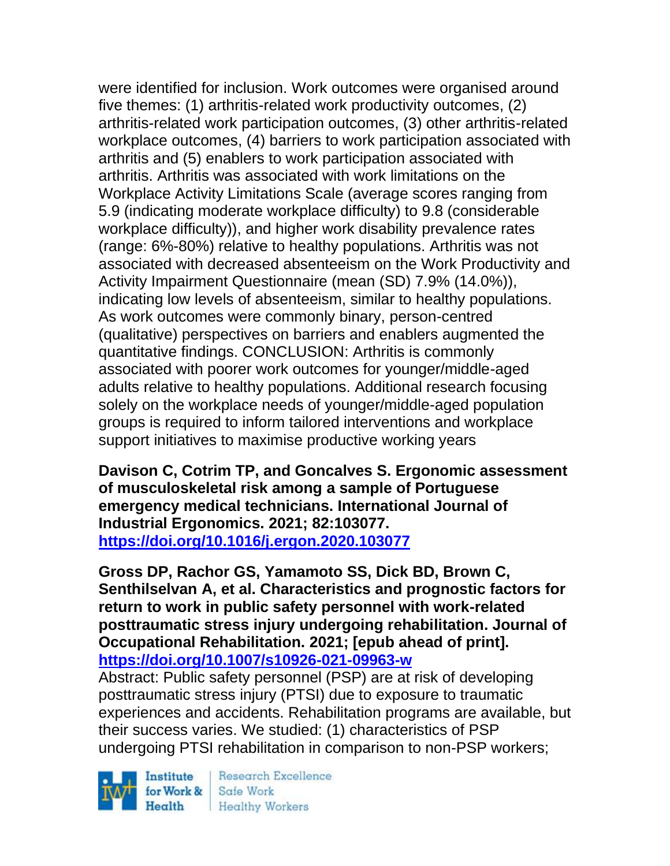were identified for inclusion. Work outcomes were organised around five themes: (1) arthritis-related work productivity outcomes, (2) arthritis-related work participation outcomes, (3) other arthritis-related workplace outcomes, (4) barriers to work participation associated with arthritis and (5) enablers to work participation associated with arthritis. Arthritis was associated with work limitations on the Workplace Activity Limitations Scale (average scores ranging from 5.9 (indicating moderate workplace difficulty) to 9.8 (considerable workplace difficulty)), and higher work disability prevalence rates (range: 6%-80%) relative to healthy populations. Arthritis was not associated with decreased absenteeism on the Work Productivity and Activity Impairment Questionnaire (mean (SD) 7.9% (14.0%)), indicating low levels of absenteeism, similar to healthy populations. As work outcomes were commonly binary, person-centred (qualitative) perspectives on barriers and enablers augmented the quantitative findings. CONCLUSION: Arthritis is commonly associated with poorer work outcomes for younger/middle-aged adults relative to healthy populations. Additional research focusing solely on the workplace needs of younger/middle-aged population groups is required to inform tailored interventions and workplace support initiatives to maximise productive working years

**Davison C, Cotrim TP, and Goncalves S. Ergonomic assessment of musculoskeletal risk among a sample of Portuguese emergency medical technicians. International Journal of Industrial Ergonomics. 2021; 82:103077. <https://doi.org/10.1016/j.ergon.2020.103077>** 

**Gross DP, Rachor GS, Yamamoto SS, Dick BD, Brown C, Senthilselvan A, et al. Characteristics and prognostic factors for return to work in public safety personnel with work-related posttraumatic stress injury undergoing rehabilitation. Journal of Occupational Rehabilitation. 2021; [epub ahead of print]. <https://doi.org/10.1007/s10926-021-09963-w>** 

Abstract: Public safety personnel (PSP) are at risk of developing posttraumatic stress injury (PTSI) due to exposure to traumatic experiences and accidents. Rehabilitation programs are available, but their success varies. We studied: (1) characteristics of PSP undergoing PTSI rehabilitation in comparison to non-PSP workers;

Institute Health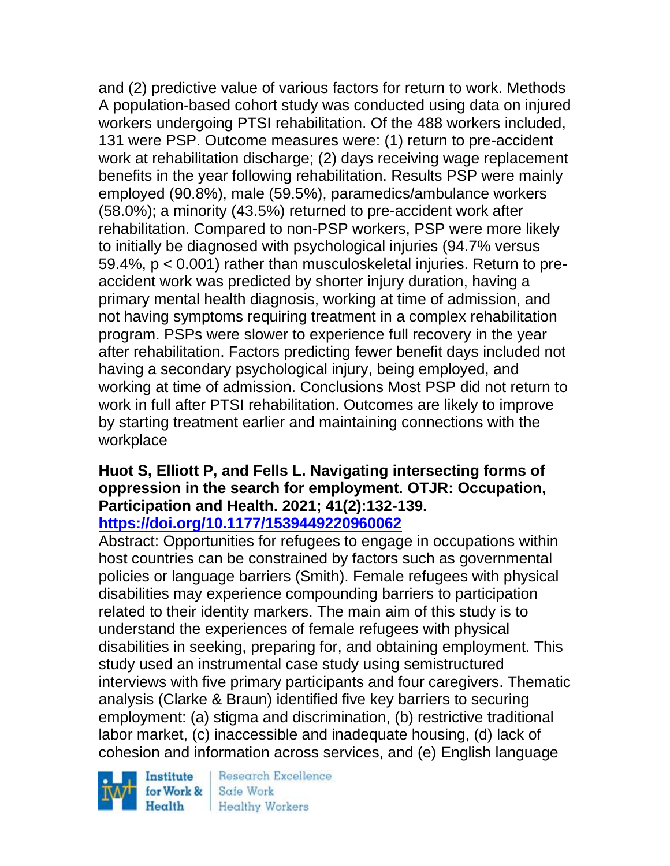and (2) predictive value of various factors for return to work. Methods A population-based cohort study was conducted using data on injured workers undergoing PTSI rehabilitation. Of the 488 workers included, 131 were PSP. Outcome measures were: (1) return to pre-accident work at rehabilitation discharge; (2) days receiving wage replacement benefits in the year following rehabilitation. Results PSP were mainly employed (90.8%), male (59.5%), paramedics/ambulance workers (58.0%); a minority (43.5%) returned to pre-accident work after rehabilitation. Compared to non-PSP workers, PSP were more likely to initially be diagnosed with psychological injuries (94.7% versus 59.4%, p < 0.001) rather than musculoskeletal injuries. Return to preaccident work was predicted by shorter injury duration, having a primary mental health diagnosis, working at time of admission, and not having symptoms requiring treatment in a complex rehabilitation program. PSPs were slower to experience full recovery in the year after rehabilitation. Factors predicting fewer benefit days included not having a secondary psychological injury, being employed, and working at time of admission. Conclusions Most PSP did not return to work in full after PTSI rehabilitation. Outcomes are likely to improve by starting treatment earlier and maintaining connections with the workplace

#### **Huot S, Elliott P, and Fells L. Navigating intersecting forms of oppression in the search for employment. OTJR: Occupation, Participation and Health. 2021; 41(2):132-139. <https://doi.org/10.1177/1539449220960062>**

Abstract: Opportunities for refugees to engage in occupations within host countries can be constrained by factors such as governmental policies or language barriers (Smith). Female refugees with physical disabilities may experience compounding barriers to participation related to their identity markers. The main aim of this study is to understand the experiences of female refugees with physical disabilities in seeking, preparing for, and obtaining employment. This study used an instrumental case study using semistructured interviews with five primary participants and four caregivers. Thematic analysis (Clarke & Braun) identified five key barriers to securing employment: (a) stigma and discrimination, (b) restrictive traditional labor market, (c) inaccessible and inadequate housing, (d) lack of cohesion and information across services, and (e) English language

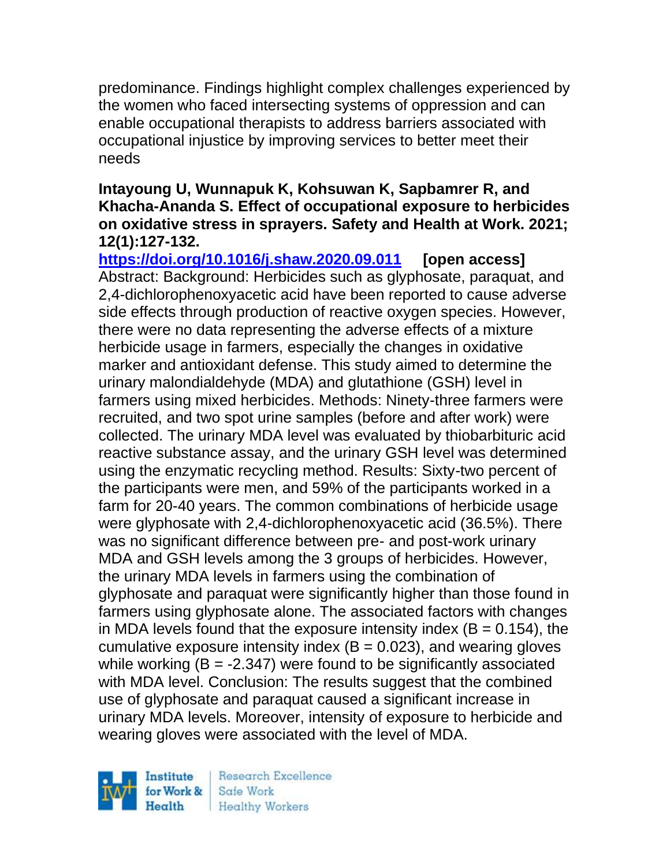predominance. Findings highlight complex challenges experienced by the women who faced intersecting systems of oppression and can enable occupational therapists to address barriers associated with occupational injustice by improving services to better meet their needs

## **Intayoung U, Wunnapuk K, Kohsuwan K, Sapbamrer R, and Khacha-Ananda S. Effect of occupational exposure to herbicides on oxidative stress in sprayers. Safety and Health at Work. 2021; 12(1):127-132.**

**<https://doi.org/10.1016/j.shaw.2020.09.011> [open access]** Abstract: Background: Herbicides such as glyphosate, paraquat, and 2,4-dichlorophenoxyacetic acid have been reported to cause adverse side effects through production of reactive oxygen species. However, there were no data representing the adverse effects of a mixture herbicide usage in farmers, especially the changes in oxidative marker and antioxidant defense. This study aimed to determine the urinary malondialdehyde (MDA) and glutathione (GSH) level in farmers using mixed herbicides. Methods: Ninety-three farmers were recruited, and two spot urine samples (before and after work) were collected. The urinary MDA level was evaluated by thiobarbituric acid reactive substance assay, and the urinary GSH level was determined using the enzymatic recycling method. Results: Sixty-two percent of the participants were men, and 59% of the participants worked in a farm for 20-40 years. The common combinations of herbicide usage were glyphosate with 2,4-dichlorophenoxyacetic acid (36.5%). There was no significant difference between pre- and post-work urinary MDA and GSH levels among the 3 groups of herbicides. However, the urinary MDA levels in farmers using the combination of glyphosate and paraquat were significantly higher than those found in farmers using glyphosate alone. The associated factors with changes in MDA levels found that the exposure intensity index  $(B = 0.154)$ , the cumulative exposure intensity index  $(B = 0.023)$ , and wearing gloves while working  $(B = -2.347)$  were found to be significantly associated with MDA level. Conclusion: The results suggest that the combined use of glyphosate and paraquat caused a significant increase in urinary MDA levels. Moreover, intensity of exposure to herbicide and wearing gloves were associated with the level of MDA.

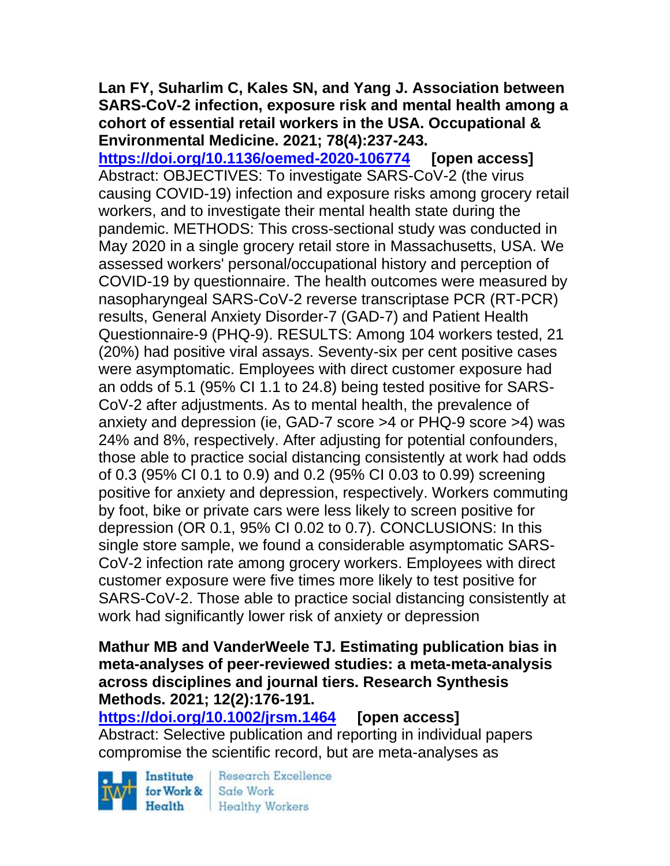## **Lan FY, Suharlim C, Kales SN, and Yang J. Association between SARS-CoV-2 infection, exposure risk and mental health among a cohort of essential retail workers in the USA. Occupational & Environmental Medicine. 2021; 78(4):237-243.**

**<https://doi.org/10.1136/oemed-2020-106774> [open access]** Abstract: OBJECTIVES: To investigate SARS-CoV-2 (the virus causing COVID-19) infection and exposure risks among grocery retail workers, and to investigate their mental health state during the pandemic. METHODS: This cross-sectional study was conducted in May 2020 in a single grocery retail store in Massachusetts, USA. We assessed workers' personal/occupational history and perception of COVID-19 by questionnaire. The health outcomes were measured by nasopharyngeal SARS-CoV-2 reverse transcriptase PCR (RT-PCR) results, General Anxiety Disorder-7 (GAD-7) and Patient Health Questionnaire-9 (PHQ-9). RESULTS: Among 104 workers tested, 21 (20%) had positive viral assays. Seventy-six per cent positive cases were asymptomatic. Employees with direct customer exposure had an odds of 5.1 (95% CI 1.1 to 24.8) being tested positive for SARS-CoV-2 after adjustments. As to mental health, the prevalence of anxiety and depression (ie, GAD-7 score >4 or PHQ-9 score >4) was 24% and 8%, respectively. After adjusting for potential confounders, those able to practice social distancing consistently at work had odds of 0.3 (95% CI 0.1 to 0.9) and 0.2 (95% CI 0.03 to 0.99) screening positive for anxiety and depression, respectively. Workers commuting by foot, bike or private cars were less likely to screen positive for depression (OR 0.1, 95% CI 0.02 to 0.7). CONCLUSIONS: In this single store sample, we found a considerable asymptomatic SARS-CoV-2 infection rate among grocery workers. Employees with direct customer exposure were five times more likely to test positive for SARS-CoV-2. Those able to practice social distancing consistently at work had significantly lower risk of anxiety or depression

#### **Mathur MB and VanderWeele TJ. Estimating publication bias in meta-analyses of peer-reviewed studies: a meta-meta-analysis across disciplines and journal tiers. Research Synthesis Methods. 2021; 12(2):176-191.**

**<https://doi.org/10.1002/jrsm.1464> [open access]** Abstract: Selective publication and reporting in individual papers compromise the scientific record, but are meta-analyses as

Institute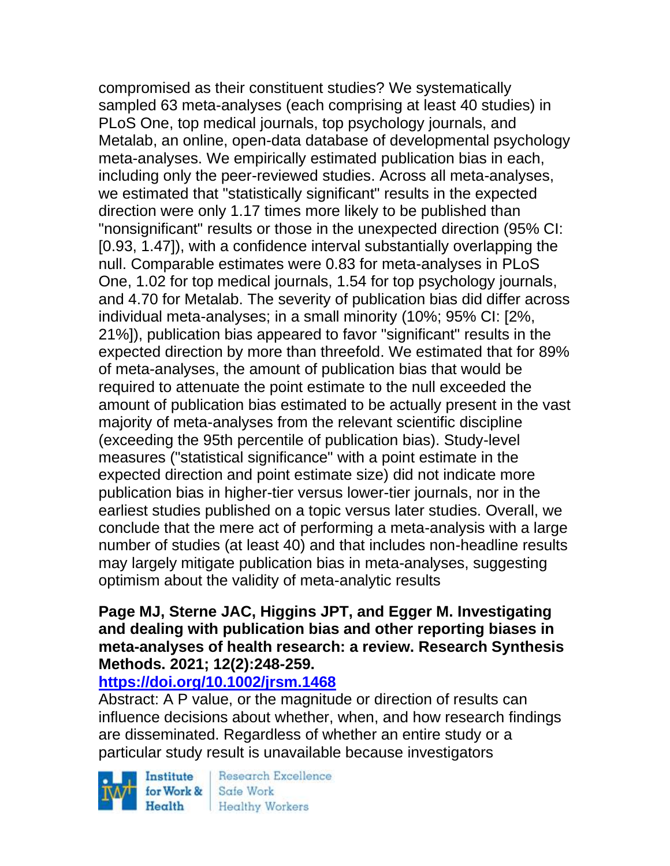compromised as their constituent studies? We systematically sampled 63 meta-analyses (each comprising at least 40 studies) in PLoS One, top medical journals, top psychology journals, and Metalab, an online, open-data database of developmental psychology meta-analyses. We empirically estimated publication bias in each, including only the peer-reviewed studies. Across all meta-analyses, we estimated that "statistically significant" results in the expected direction were only 1.17 times more likely to be published than "nonsignificant" results or those in the unexpected direction (95% CI: [0.93, 1.47]), with a confidence interval substantially overlapping the null. Comparable estimates were 0.83 for meta-analyses in PLoS One, 1.02 for top medical journals, 1.54 for top psychology journals, and 4.70 for Metalab. The severity of publication bias did differ across individual meta-analyses; in a small minority (10%; 95% CI: [2%, 21%]), publication bias appeared to favor "significant" results in the expected direction by more than threefold. We estimated that for 89% of meta-analyses, the amount of publication bias that would be required to attenuate the point estimate to the null exceeded the amount of publication bias estimated to be actually present in the vast majority of meta-analyses from the relevant scientific discipline (exceeding the 95th percentile of publication bias). Study-level measures ("statistical significance" with a point estimate in the expected direction and point estimate size) did not indicate more publication bias in higher-tier versus lower-tier journals, nor in the earliest studies published on a topic versus later studies. Overall, we conclude that the mere act of performing a meta-analysis with a large number of studies (at least 40) and that includes non-headline results may largely mitigate publication bias in meta-analyses, suggesting optimism about the validity of meta-analytic results

## **Page MJ, Sterne JAC, Higgins JPT, and Egger M. Investigating and dealing with publication bias and other reporting biases in meta-analyses of health research: a review. Research Synthesis Methods. 2021; 12(2):248-259.**

## **<https://doi.org/10.1002/jrsm.1468>**

Abstract: A P value, or the magnitude or direction of results can influence decisions about whether, when, and how research findings are disseminated. Regardless of whether an entire study or a particular study result is unavailable because investigators

Institute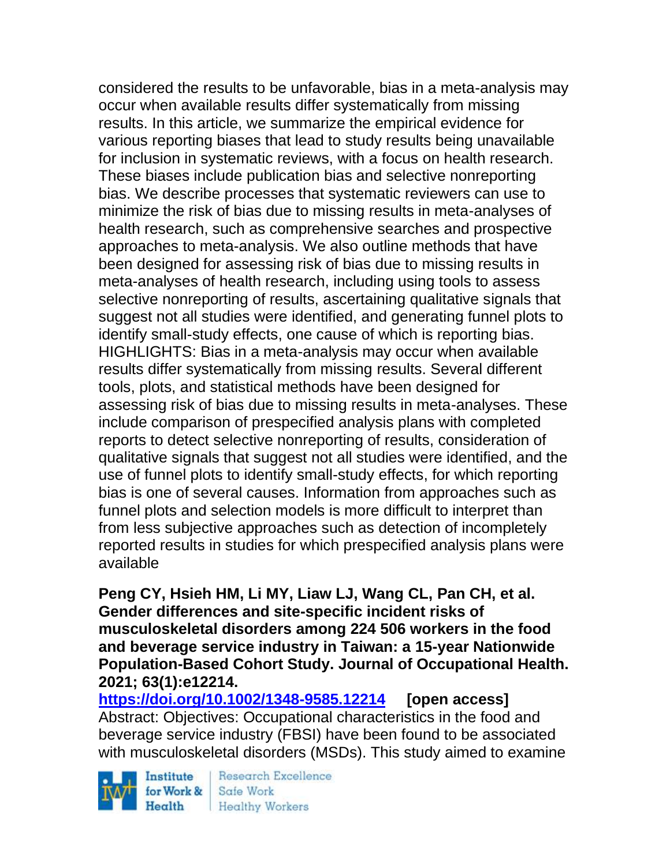considered the results to be unfavorable, bias in a meta-analysis may occur when available results differ systematically from missing results. In this article, we summarize the empirical evidence for various reporting biases that lead to study results being unavailable for inclusion in systematic reviews, with a focus on health research. These biases include publication bias and selective nonreporting bias. We describe processes that systematic reviewers can use to minimize the risk of bias due to missing results in meta-analyses of health research, such as comprehensive searches and prospective approaches to meta-analysis. We also outline methods that have been designed for assessing risk of bias due to missing results in meta-analyses of health research, including using tools to assess selective nonreporting of results, ascertaining qualitative signals that suggest not all studies were identified, and generating funnel plots to identify small-study effects, one cause of which is reporting bias. HIGHLIGHTS: Bias in a meta-analysis may occur when available results differ systematically from missing results. Several different tools, plots, and statistical methods have been designed for assessing risk of bias due to missing results in meta-analyses. These include comparison of prespecified analysis plans with completed reports to detect selective nonreporting of results, consideration of qualitative signals that suggest not all studies were identified, and the use of funnel plots to identify small-study effects, for which reporting bias is one of several causes. Information from approaches such as funnel plots and selection models is more difficult to interpret than from less subjective approaches such as detection of incompletely reported results in studies for which prespecified analysis plans were available

**Peng CY, Hsieh HM, Li MY, Liaw LJ, Wang CL, Pan CH, et al. Gender differences and site-specific incident risks of musculoskeletal disorders among 224 506 workers in the food and beverage service industry in Taiwan: a 15-year Nationwide Population-Based Cohort Study. Journal of Occupational Health. 2021; 63(1):e12214.**

**<https://doi.org/10.1002/1348-9585.12214> [open access]** Abstract: Objectives: Occupational characteristics in the food and beverage service industry (FBSI) have been found to be associated with musculoskeletal disorders (MSDs). This study aimed to examine

Institute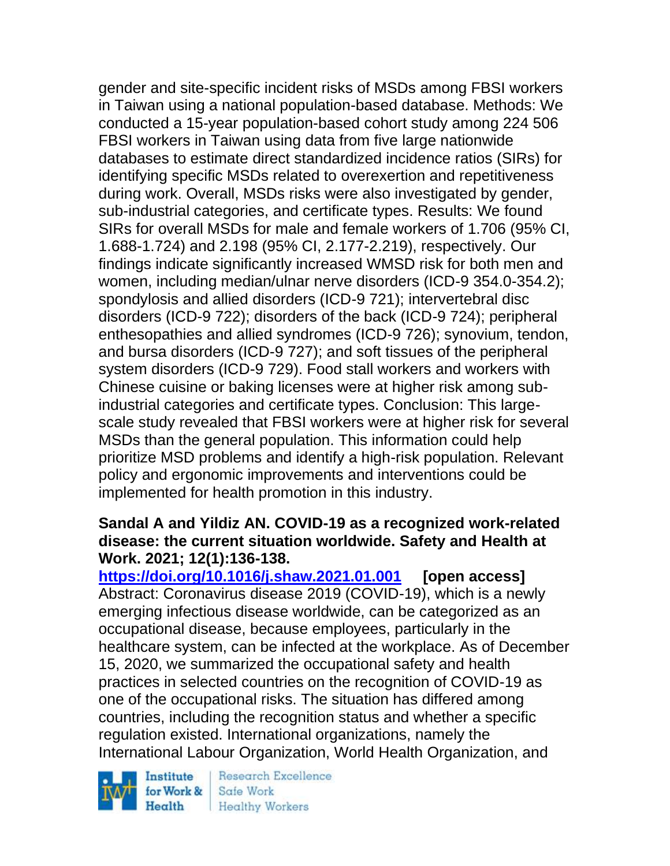gender and site-specific incident risks of MSDs among FBSI workers in Taiwan using a national population-based database. Methods: We conducted a 15-year population-based cohort study among 224 506 FBSI workers in Taiwan using data from five large nationwide databases to estimate direct standardized incidence ratios (SIRs) for identifying specific MSDs related to overexertion and repetitiveness during work. Overall, MSDs risks were also investigated by gender, sub-industrial categories, and certificate types. Results: We found SIRs for overall MSDs for male and female workers of 1.706 (95% CI, 1.688-1.724) and 2.198 (95% CI, 2.177-2.219), respectively. Our findings indicate significantly increased WMSD risk for both men and women, including median/ulnar nerve disorders (ICD-9 354.0-354.2); spondylosis and allied disorders (ICD-9 721); intervertebral disc disorders (ICD-9 722); disorders of the back (ICD-9 724); peripheral enthesopathies and allied syndromes (ICD-9 726); synovium, tendon, and bursa disorders (ICD-9 727); and soft tissues of the peripheral system disorders (ICD-9 729). Food stall workers and workers with Chinese cuisine or baking licenses were at higher risk among subindustrial categories and certificate types. Conclusion: This largescale study revealed that FBSI workers were at higher risk for several MSDs than the general population. This information could help prioritize MSD problems and identify a high-risk population. Relevant policy and ergonomic improvements and interventions could be implemented for health promotion in this industry.

## **Sandal A and Yildiz AN. COVID-19 as a recognized work-related disease: the current situation worldwide. Safety and Health at Work. 2021; 12(1):136-138.**

**<https://doi.org/10.1016/j.shaw.2021.01.001> [open access]** Abstract: Coronavirus disease 2019 (COVID-19), which is a newly emerging infectious disease worldwide, can be categorized as an occupational disease, because employees, particularly in the healthcare system, can be infected at the workplace. As of December 15, 2020, we summarized the occupational safety and health practices in selected countries on the recognition of COVID-19 as one of the occupational risks. The situation has differed among countries, including the recognition status and whether a specific regulation existed. International organizations, namely the International Labour Organization, World Health Organization, and

Institute for Work &